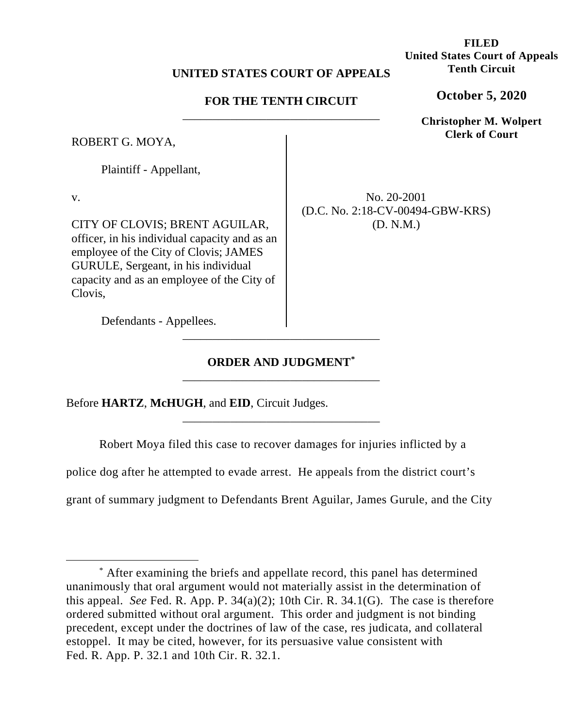## **UNITED STATES COURT OF APPEALS**

# **FOR THE TENTH CIRCUIT**  \_\_\_\_\_\_\_\_\_\_\_\_\_\_\_\_\_\_\_\_\_\_\_\_\_\_\_\_\_\_\_\_\_

ROBERT G. MOYA,

Plaintiff - Appellant,

v.

CITY OF CLOVIS; BRENT AGUILAR, officer, in his individual capacity and as an employee of the City of Clovis; JAMES GURULE, Sergeant, in his individual capacity and as an employee of the City of Clovis,

No. 20-2001 (D.C. No. 2:18-CV-00494-GBW-KRS) (D. N.M.)

Defendants - Appellees.

# **ORDER AND JUDGMENT\*** \_\_\_\_\_\_\_\_\_\_\_\_\_\_\_\_\_\_\_\_\_\_\_\_\_\_\_\_\_\_\_\_\_

\_\_\_\_\_\_\_\_\_\_\_\_\_\_\_\_\_\_\_\_\_\_\_\_\_\_\_\_\_\_\_\_\_

Before **HARTZ**, **McHUGH**, and **EID**, Circuit Judges.

Robert Moya filed this case to recover damages for injuries inflicted by a

\_\_\_\_\_\_\_\_\_\_\_\_\_\_\_\_\_\_\_\_\_\_\_\_\_\_\_\_\_\_\_\_\_

police dog after he attempted to evade arrest. He appeals from the district court's

grant of summary judgment to Defendants Brent Aguilar, James Gurule, and the City

**FILED United States Court of Appeals Tenth Circuit**

**October 5, 2020**

**Christopher M. Wolpert Clerk of Court**

<sup>\*</sup> After examining the briefs and appellate record, this panel has determined unanimously that oral argument would not materially assist in the determination of this appeal. *See* Fed. R. App. P. 34(a)(2); 10th Cir. R. 34.1(G). The case is therefore ordered submitted without oral argument. This order and judgment is not binding precedent, except under the doctrines of law of the case, res judicata, and collateral estoppel. It may be cited, however, for its persuasive value consistent with Fed. R. App. P. 32.1 and 10th Cir. R. 32.1.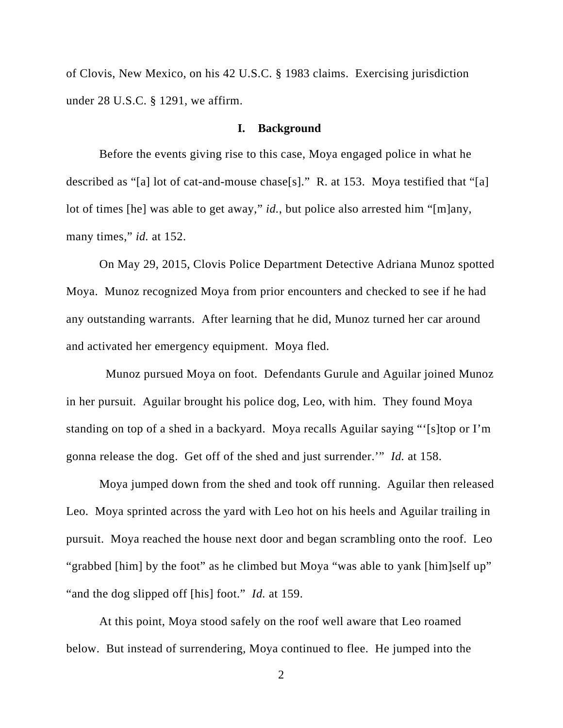of Clovis, New Mexico, on his 42 U.S.C. § 1983 claims. Exercising jurisdiction under 28 U.S.C. § 1291, we affirm.

#### **I. Background**

Before the events giving rise to this case, Moya engaged police in what he described as "[a] lot of cat-and-mouse chase[s]." R. at 153. Moya testified that "[a] lot of times [he] was able to get away," *id.*, but police also arrested him "[m]any, many times," *id.* at 152.

On May 29, 2015, Clovis Police Department Detective Adriana Munoz spotted Moya. Munoz recognized Moya from prior encounters and checked to see if he had any outstanding warrants. After learning that he did, Munoz turned her car around and activated her emergency equipment. Moya fled.

 Munoz pursued Moya on foot. Defendants Gurule and Aguilar joined Munoz in her pursuit. Aguilar brought his police dog, Leo, with him. They found Moya standing on top of a shed in a backyard. Moya recalls Aguilar saying "'[s]top or I'm gonna release the dog. Get off of the shed and just surrender.'" *Id.* at 158.

Moya jumped down from the shed and took off running. Aguilar then released Leo. Moya sprinted across the yard with Leo hot on his heels and Aguilar trailing in pursuit. Moya reached the house next door and began scrambling onto the roof. Leo "grabbed [him] by the foot" as he climbed but Moya "was able to yank [him]self up" "and the dog slipped off [his] foot." *Id.* at 159.

At this point, Moya stood safely on the roof well aware that Leo roamed below. But instead of surrendering, Moya continued to flee. He jumped into the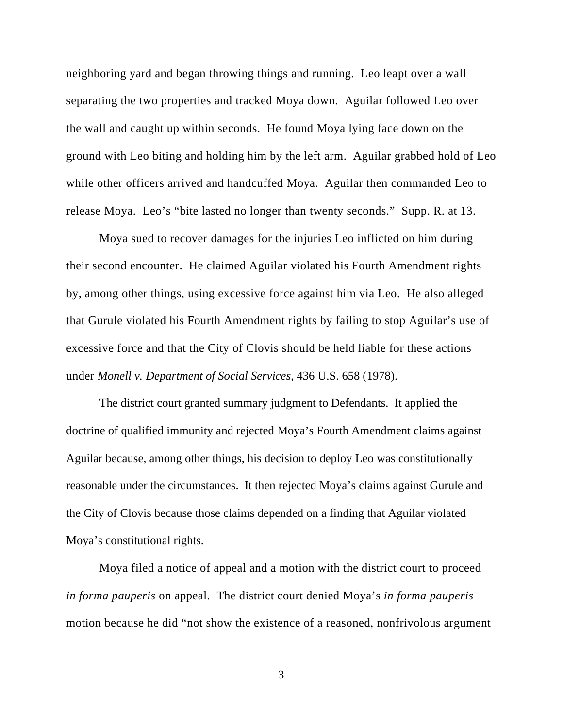neighboring yard and began throwing things and running. Leo leapt over a wall separating the two properties and tracked Moya down. Aguilar followed Leo over the wall and caught up within seconds. He found Moya lying face down on the ground with Leo biting and holding him by the left arm. Aguilar grabbed hold of Leo while other officers arrived and handcuffed Moya. Aguilar then commanded Leo to release Moya. Leo's "bite lasted no longer than twenty seconds." Supp. R. at 13.

Moya sued to recover damages for the injuries Leo inflicted on him during their second encounter. He claimed Aguilar violated his Fourth Amendment rights by, among other things, using excessive force against him via Leo. He also alleged that Gurule violated his Fourth Amendment rights by failing to stop Aguilar's use of excessive force and that the City of Clovis should be held liable for these actions under *Monell v. Department of Social Services*, 436 U.S. 658 (1978).

The district court granted summary judgment to Defendants. It applied the doctrine of qualified immunity and rejected Moya's Fourth Amendment claims against Aguilar because, among other things, his decision to deploy Leo was constitutionally reasonable under the circumstances. It then rejected Moya's claims against Gurule and the City of Clovis because those claims depended on a finding that Aguilar violated Moya's constitutional rights.

Moya filed a notice of appeal and a motion with the district court to proceed *in forma pauperis* on appeal. The district court denied Moya's *in forma pauperis* motion because he did "not show the existence of a reasoned, nonfrivolous argument

3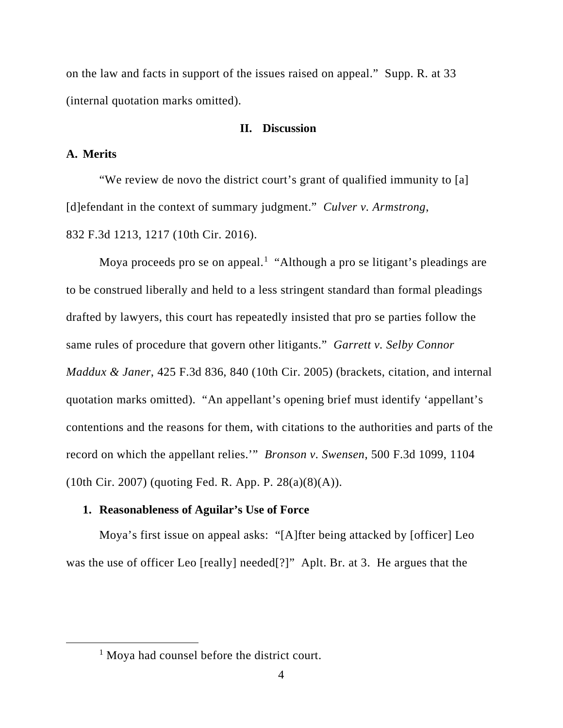on the law and facts in support of the issues raised on appeal." Supp. R. at 33 (internal quotation marks omitted).

## **II. Discussion**

## **A. Merits**

"We review de novo the district court's grant of qualified immunity to [a] [d]efendant in the context of summary judgment." *Culver v. Armstrong*, 832 F.3d 1213, 1217 (10th Cir. 2016).

Moya proceeds pro se on appeal.<sup>1</sup> "Although a pro se litigant's pleadings are to be construed liberally and held to a less stringent standard than formal pleadings drafted by lawyers, this court has repeatedly insisted that pro se parties follow the same rules of procedure that govern other litigants." *Garrett v. Selby Connor Maddux & Janer*, 425 F.3d 836, 840 (10th Cir. 2005) (brackets, citation, and internal quotation marks omitted). "An appellant's opening brief must identify 'appellant's contentions and the reasons for them, with citations to the authorities and parts of the record on which the appellant relies.'" *Bronson v. Swensen*, 500 F.3d 1099, 1104 (10th Cir. 2007) (quoting Fed. R. App. P. 28(a)(8)(A)).

## **1. Reasonableness of Aguilar's Use of Force**

Moya's first issue on appeal asks: "[A]fter being attacked by [officer] Leo was the use of officer Leo [really] needed[?]" Aplt. Br. at 3. He argues that the

<sup>&</sup>lt;sup>1</sup> Moya had counsel before the district court.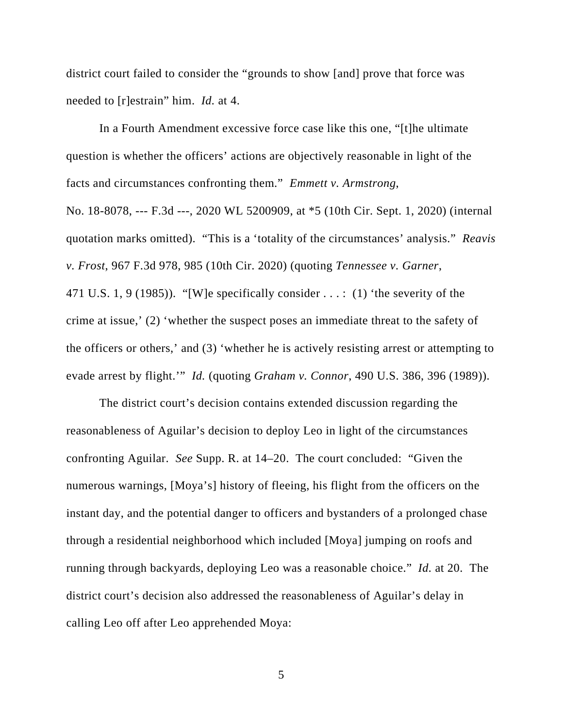district court failed to consider the "grounds to show [and] prove that force was needed to [r]estrain" him. *Id.* at 4.

In a Fourth Amendment excessive force case like this one, "[t]he ultimate question is whether the officers' actions are objectively reasonable in light of the facts and circumstances confronting them." *Emmett v. Armstrong*, No. 18-8078, --- F.3d ---, 2020 WL 5200909, at \*5 (10th Cir. Sept. 1, 2020) (internal quotation marks omitted). "This is a 'totality of the circumstances' analysis." *Reavis v. Frost*, 967 F.3d 978, 985 (10th Cir. 2020) (quoting *Tennessee v. Garner*, 471 U.S. 1, 9 (1985)). "[W]e specifically consider  $\dots$ : (1) 'the severity of the crime at issue,' (2) 'whether the suspect poses an immediate threat to the safety of the officers or others,' and (3) 'whether he is actively resisting arrest or attempting to evade arrest by flight.'" *Id.* (quoting *Graham v. Connor*, 490 U.S. 386, 396 (1989)).

The district court's decision contains extended discussion regarding the reasonableness of Aguilar's decision to deploy Leo in light of the circumstances confronting Aguilar. *See* Supp. R. at 14–20. The court concluded: "Given the numerous warnings, [Moya's] history of fleeing, his flight from the officers on the instant day, and the potential danger to officers and bystanders of a prolonged chase through a residential neighborhood which included [Moya] jumping on roofs and running through backyards, deploying Leo was a reasonable choice." *Id.* at 20. The district court's decision also addressed the reasonableness of Aguilar's delay in calling Leo off after Leo apprehended Moya:

5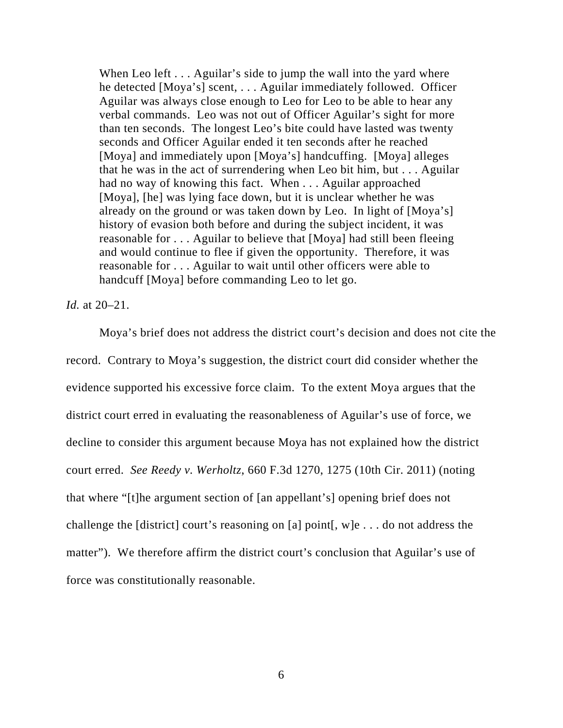When Leo left . . . Aguilar's side to jump the wall into the yard where he detected [Moya's] scent, . . . Aguilar immediately followed. Officer Aguilar was always close enough to Leo for Leo to be able to hear any verbal commands. Leo was not out of Officer Aguilar's sight for more than ten seconds. The longest Leo's bite could have lasted was twenty seconds and Officer Aguilar ended it ten seconds after he reached [Moya] and immediately upon [Moya's] handcuffing. [Moya] alleges that he was in the act of surrendering when Leo bit him, but . . . Aguilar had no way of knowing this fact. When . . . Aguilar approached [Moya], [he] was lying face down, but it is unclear whether he was already on the ground or was taken down by Leo. In light of [Moya's] history of evasion both before and during the subject incident, it was reasonable for . . . Aguilar to believe that [Moya] had still been fleeing and would continue to flee if given the opportunity. Therefore, it was reasonable for . . . Aguilar to wait until other officers were able to handcuff [Moya] before commanding Leo to let go.

*Id.* at 20–21.

Moya's brief does not address the district court's decision and does not cite the record. Contrary to Moya's suggestion, the district court did consider whether the evidence supported his excessive force claim. To the extent Moya argues that the district court erred in evaluating the reasonableness of Aguilar's use of force, we decline to consider this argument because Moya has not explained how the district court erred. *See Reedy v. Werholtz*, 660 F.3d 1270, 1275 (10th Cir. 2011) (noting that where "[t]he argument section of [an appellant's] opening brief does not challenge the [district] court's reasoning on [a] point[, w]e . . . do not address the matter"). We therefore affirm the district court's conclusion that Aguilar's use of force was constitutionally reasonable.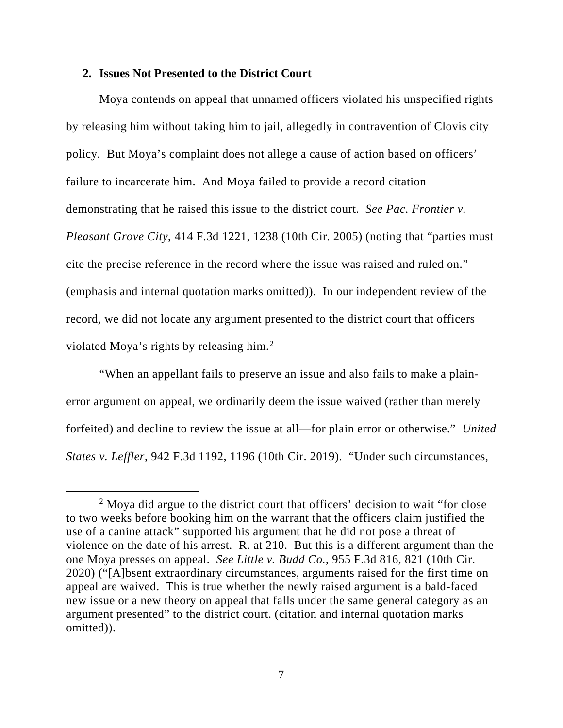#### **2. Issues Not Presented to the District Court**

Moya contends on appeal that unnamed officers violated his unspecified rights by releasing him without taking him to jail, allegedly in contravention of Clovis city policy. But Moya's complaint does not allege a cause of action based on officers' failure to incarcerate him. And Moya failed to provide a record citation demonstrating that he raised this issue to the district court. *See Pac. Frontier v. Pleasant Grove City*, 414 F.3d 1221, 1238 (10th Cir. 2005) (noting that "parties must cite the precise reference in the record where the issue was raised and ruled on." (emphasis and internal quotation marks omitted)). In our independent review of the record, we did not locate any argument presented to the district court that officers violated Moya's rights by releasing him. 2

"When an appellant fails to preserve an issue and also fails to make a plainerror argument on appeal, we ordinarily deem the issue waived (rather than merely forfeited) and decline to review the issue at all—for plain error or otherwise." *United States v. Leffler*, 942 F.3d 1192, 1196 (10th Cir. 2019). "Under such circumstances,

<sup>&</sup>lt;sup>2</sup> Moya did argue to the district court that officers' decision to wait "for close" to two weeks before booking him on the warrant that the officers claim justified the use of a canine attack" supported his argument that he did not pose a threat of violence on the date of his arrest. R. at 210. But this is a different argument than the one Moya presses on appeal. *See Little v. Budd Co.*, 955 F.3d 816, 821 (10th Cir. 2020) ("[A]bsent extraordinary circumstances, arguments raised for the first time on appeal are waived. This is true whether the newly raised argument is a bald-faced new issue or a new theory on appeal that falls under the same general category as an argument presented" to the district court. (citation and internal quotation marks omitted)).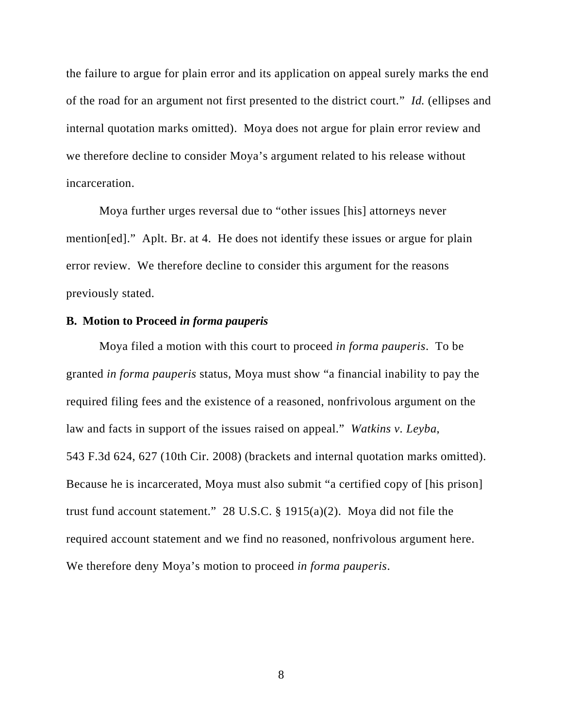the failure to argue for plain error and its application on appeal surely marks the end of the road for an argument not first presented to the district court." *Id.* (ellipses and internal quotation marks omitted). Moya does not argue for plain error review and we therefore decline to consider Moya's argument related to his release without incarceration.

Moya further urges reversal due to "other issues [his] attorneys never mention[ed]." Aplt. Br. at 4. He does not identify these issues or argue for plain error review. We therefore decline to consider this argument for the reasons previously stated.

#### **B. Motion to Proceed** *in forma pauperis*

Moya filed a motion with this court to proceed *in forma pauperis*. To be granted *in forma pauperis* status, Moya must show "a financial inability to pay the required filing fees and the existence of a reasoned, nonfrivolous argument on the law and facts in support of the issues raised on appeal." *Watkins v. Leyba*, 543 F.3d 624, 627 (10th Cir. 2008) (brackets and internal quotation marks omitted). Because he is incarcerated, Moya must also submit "a certified copy of [his prison] trust fund account statement." 28 U.S.C. § 1915(a)(2). Moya did not file the required account statement and we find no reasoned, nonfrivolous argument here. We therefore deny Moya's motion to proceed *in forma pauperis*.

8